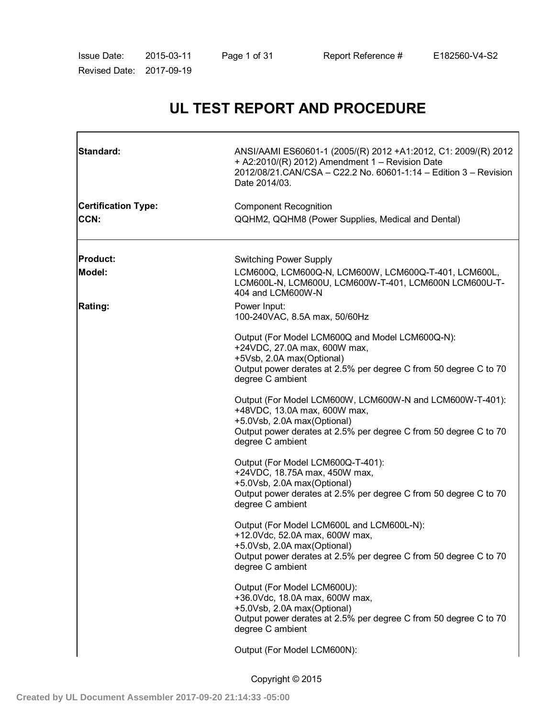| Issue Date:          | 2015-03-11 |  |
|----------------------|------------|--|
| <b>Revised Date:</b> | 2017-09-19 |  |

# **UL TEST REPORT AND PROCEDURE**

| Standard:                          | ANSI/AAMI ES60601-1 (2005/(R) 2012 +A1:2012, C1: 2009/(R) 2012<br>+ A2:2010/(R) 2012) Amendment 1 - Revision Date<br>2012/08/21.CAN/CSA - C22.2 No. 60601-1:14 - Edition 3 - Revision<br>Date 2014/03.          |  |  |
|------------------------------------|-----------------------------------------------------------------------------------------------------------------------------------------------------------------------------------------------------------------|--|--|
| <b>Certification Type:</b><br>CCN: | <b>Component Recognition</b><br>QQHM2, QQHM8 (Power Supplies, Medical and Dental)                                                                                                                               |  |  |
| <b>Product:</b><br><b>Model:</b>   | <b>Switching Power Supply</b><br>LCM600Q, LCM600Q-N, LCM600W, LCM600Q-T-401, LCM600L,<br>LCM600L-N, LCM600U, LCM600W-T-401, LCM600N LCM600U-T-<br>404 and LCM600W-N                                             |  |  |
| Rating:                            | Power Input:<br>100-240VAC, 8.5A max, 50/60Hz                                                                                                                                                                   |  |  |
|                                    | Output (For Model LCM600Q and Model LCM600Q-N):<br>+24VDC, 27.0A max, 600W max,<br>+5Vsb, 2.0A max(Optional)<br>Output power derates at 2.5% per degree C from 50 degree C to 70<br>degree C ambient            |  |  |
|                                    | Output (For Model LCM600W, LCM600W-N and LCM600W-T-401):<br>+48VDC, 13.0A max, 600W max,<br>+5.0Vsb, 2.0A max(Optional)<br>Output power derates at 2.5% per degree C from 50 degree C to 70<br>degree C ambient |  |  |
|                                    | Output (For Model LCM600Q-T-401):<br>+24VDC, 18.75A max, 450W max,<br>+5.0Vsb, 2.0A max(Optional)<br>Output power derates at 2.5% per degree C from 50 degree C to 70<br>degree C ambient                       |  |  |
|                                    | Output (For Model LCM600L and LCM600L-N):<br>+12.0Vdc, 52.0A max, 600W max,<br>+5.0Vsb, 2.0A max(Optional)<br>Output power derates at 2.5% per degree C from 50 degree C to 70<br>degree C ambient              |  |  |
|                                    | Output (For Model LCM600U):<br>+36.0Vdc, 18.0A max, 600W max,<br>+5.0Vsb, 2.0A max(Optional)<br>Output power derates at 2.5% per degree C from 50 degree C to 70<br>degree C ambient                            |  |  |
|                                    | Output (For Model LCM600N):                                                                                                                                                                                     |  |  |

Copyright © 2015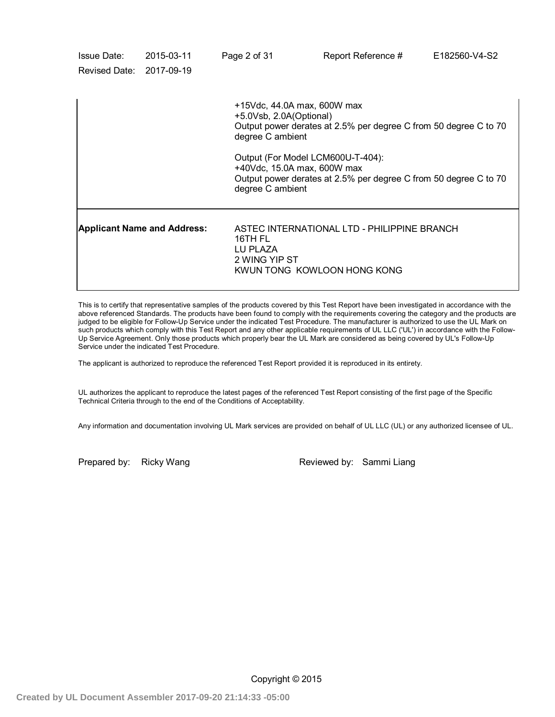| Issue Date:<br>Revised Date: 2017-09-19 | 2015-03-11                                                                                                                                               | Page 2 of 31        | Report Reference #                                                                                                                             | E182560-V4-S2 |  |  |
|-----------------------------------------|----------------------------------------------------------------------------------------------------------------------------------------------------------|---------------------|------------------------------------------------------------------------------------------------------------------------------------------------|---------------|--|--|
|                                         |                                                                                                                                                          |                     | +15Vdc, 44.0A max, 600W max<br>+5.0Vsb, 2.0A(Optional)<br>Output power derates at 2.5% per degree C from 50 degree C to 70<br>degree C ambient |               |  |  |
|                                         | Output (For Model LCM600U-T-404):<br>+40Vdc, 15.0A max, 600W max<br>Output power derates at 2.5% per degree C from 50 degree C to 70<br>degree C ambient |                     |                                                                                                                                                |               |  |  |
| <b>Applicant Name and Address:</b>      |                                                                                                                                                          | 16TH FL<br>LU PLAZA | ASTEC INTERNATIONAL LTD - PHILIPPINE BRANCH<br>2 WING YIP ST<br>KWUN TONG KOWLOON HONG KONG                                                    |               |  |  |

This is to certify that representative samples of the products covered by this Test Report have been investigated in accordance with the above referenced Standards. The products have been found to comply with the requirements covering the category and the products are judged to be eligible for Follow-Up Service under the indicated Test Procedure. The manufacturer is authorized to use the UL Mark on such products which comply with this Test Report and any other applicable requirements of UL LLC ('UL') in accordance with the Follow-Up Service Agreement. Only those products which properly bear the UL Mark are considered as being covered by UL's Follow-Up Service under the indicated Test Procedure.

The applicant is authorized to reproduce the referenced Test Report provided it is reproduced in its entirety.

UL authorizes the applicant to reproduce the latest pages of the referenced Test Report consisting of the first page of the Specific Technical Criteria through to the end of the Conditions of Acceptability.

Any information and documentation involving UL Mark services are provided on behalf of UL LLC (UL) or any authorized licensee of UL.

Prepared by: Ricky Wang Reviewed by: Sammi Liang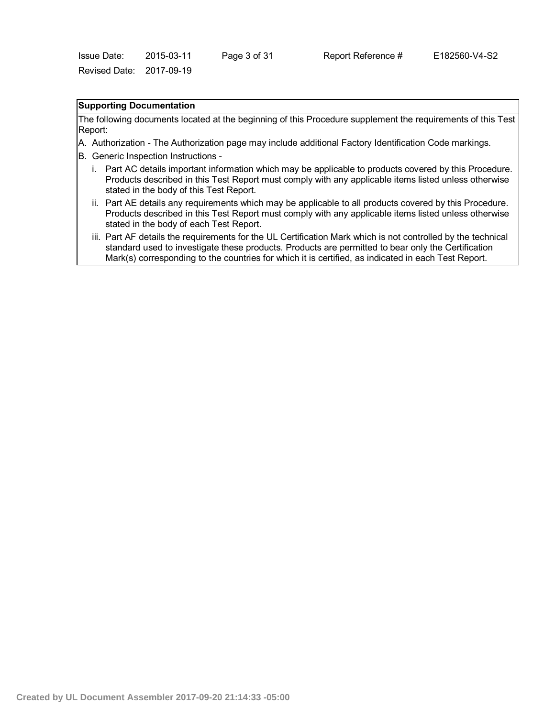## **Supporting Documentation**

The following documents located at the beginning of this Procedure supplement the requirements of this Test Report:

- A. Authorization The Authorization page may include additional Factory Identification Code markings.
- B. Generic Inspection Instructions
	- i. Part AC details important information which may be applicable to products covered by this Procedure. Products described in this Test Report must comply with any applicable items listed unless otherwise stated in the body of this Test Report.
	- ii. Part AE details any requirements which may be applicable to all products covered by this Procedure. Products described in this Test Report must comply with any applicable items listed unless otherwise stated in the body of each Test Report.
	- iii. Part AF details the requirements for the UL Certification Mark which is not controlled by the technical standard used to investigate these products. Products are permitted to bear only the Certification Mark(s) corresponding to the countries for which it is certified, as indicated in each Test Report.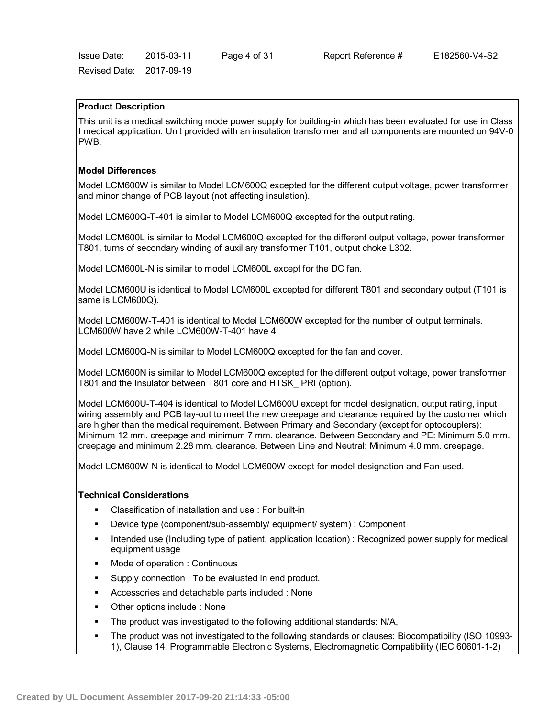Issue Date: 2015-03-11 Page 4 of 31 Report Reference # E182560-V4-S2 Revised Date: 2017-09-19

#### **Product Description**

This unit is a medical switching mode power supply for building-in which has been evaluated for use in Class I medical application. Unit provided with an insulation transformer and all components are mounted on 94V-0 PWB.

#### **Model Differences**

Model LCM600W is similar to Model LCM600Q excepted for the different output voltage, power transformer and minor change of PCB layout (not affecting insulation).

Model LCM600Q-T-401 is similar to Model LCM600Q excepted for the output rating.

Model LCM600L is similar to Model LCM600Q excepted for the different output voltage, power transformer T801, turns of secondary winding of auxiliary transformer T101, output choke L302.

Model LCM600L-N is similar to model LCM600L except for the DC fan.

Model LCM600U is identical to Model LCM600L excepted for different T801 and secondary output (T101 is same is LCM600Q).

Model LCM600W-T-401 is identical to Model LCM600W excepted for the number of output terminals. LCM600W have 2 while LCM600W-T-401 have 4.

Model LCM600Q-N is similar to Model LCM600Q excepted for the fan and cover.

Model LCM600N is similar to Model LCM600Q excepted for the different output voltage, power transformer T801 and the Insulator between T801 core and HTSK\_ PRI (option).

Model LCM600U-T-404 is identical to Model LCM600U except for model designation, output rating, input wiring assembly and PCB lay-out to meet the new creepage and clearance required by the customer which are higher than the medical requirement. Between Primary and Secondary (except for optocouplers): Minimum 12 mm. creepage and minimum 7 mm. clearance. Between Secondary and PE: Minimum 5.0 mm. creepage and minimum 2.28 mm. clearance. Between Line and Neutral: Minimum 4.0 mm. creepage.

Model LCM600W-N is identical to Model LCM600W except for model designation and Fan used.

#### **Technical Considerations**

- Classification of installation and use : For built-in
- Device type (component/sub-assembly/ equipment/ system) : Component
- Intended use (Including type of patient, application location) : Recognized power supply for medical equipment usage
- Mode of operation : Continuous
- Supply connection : To be evaluated in end product.
- Accessories and detachable parts included : None
- Other options include : None
- The product was investigated to the following additional standards: N/A,
- The product was not investigated to the following standards or clauses: Biocompatibility (ISO 10993- 1), Clause 14, Programmable Electronic Systems, Electromagnetic Compatibility (IEC 60601-1-2)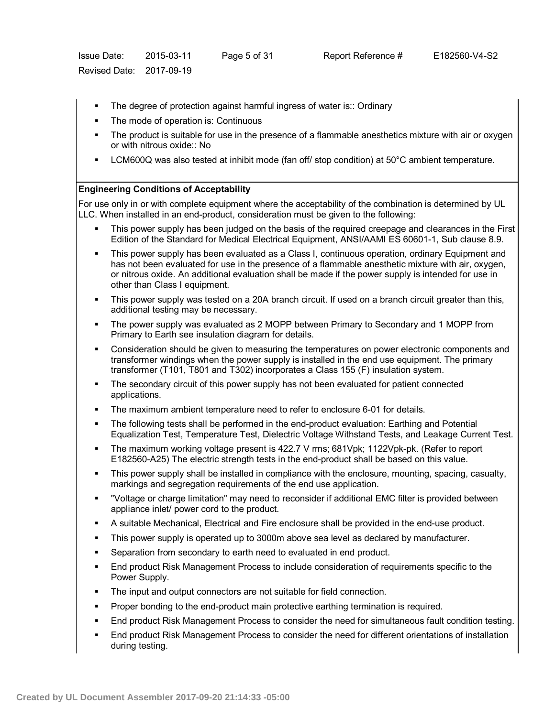- The degree of protection against harmful ingress of water is:: Ordinary
- The mode of operation is: Continuous
- The product is suitable for use in the presence of a flammable anesthetics mixture with air or oxygen or with nitrous oxide:: No
- LCM600Q was also tested at inhibit mode (fan off/ stop condition) at 50°C ambient temperature.

### **Engineering Conditions of Acceptability**

For use only in or with complete equipment where the acceptability of the combination is determined by UL LLC. When installed in an end-product, consideration must be given to the following:

- This power supply has been judged on the basis of the required creepage and clearances in the First Edition of the Standard for Medical Electrical Equipment, ANSI/AAMI ES 60601-1, Sub clause 8.9.
- This power supply has been evaluated as a Class I, continuous operation, ordinary Equipment and has not been evaluated for use in the presence of a flammable anesthetic mixture with air, oxygen, or nitrous oxide. An additional evaluation shall be made if the power supply is intended for use in other than Class I equipment.
- This power supply was tested on a 20A branch circuit. If used on a branch circuit greater than this, additional testing may be necessary.
- The power supply was evaluated as 2 MOPP between Primary to Secondary and 1 MOPP from Primary to Earth see insulation diagram for details.
- Consideration should be given to measuring the temperatures on power electronic components and transformer windings when the power supply is installed in the end use equipment. The primary transformer (T101, T801 and T302) incorporates a Class 155 (F) insulation system.
- **The secondary circuit of this power supply has not been evaluated for patient connected** applications.
- The maximum ambient temperature need to refer to enclosure 6-01 for details.
- The following tests shall be performed in the end-product evaluation: Earthing and Potential Equalization Test, Temperature Test, Dielectric Voltage Withstand Tests, and Leakage Current Test.
- The maximum working voltage present is 422.7 V rms; 681Vpk; 1122Vpk-pk. (Refer to report E182560-A25) The electric strength tests in the end-product shall be based on this value.
- This power supply shall be installed in compliance with the enclosure, mounting, spacing, casualty, markings and segregation requirements of the end use application.
- "Voltage or charge limitation" may need to reconsider if additional EMC filter is provided between appliance inlet/ power cord to the product.
- A suitable Mechanical, Electrical and Fire enclosure shall be provided in the end-use product.
- This power supply is operated up to 3000m above sea level as declared by manufacturer.
- Separation from secondary to earth need to evaluated in end product.
- End product Risk Management Process to include consideration of requirements specific to the Power Supply.
- The input and output connectors are not suitable for field connection.
- Proper bonding to the end-product main protective earthing termination is required.
- End product Risk Management Process to consider the need for simultaneous fault condition testing.
- End product Risk Management Process to consider the need for different orientations of installation during testing.